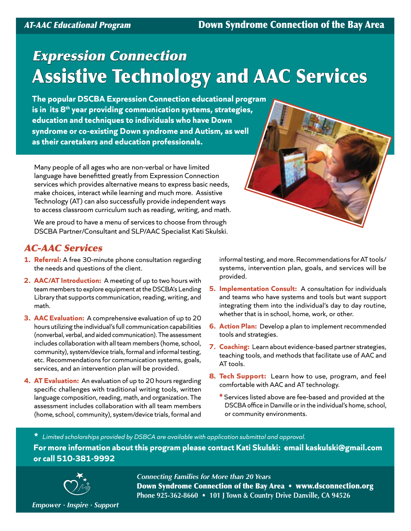# Expression Connection Assistive Technology and AAC Services

**The popular DSCBA Expression Connection educational program is in its 8th year providing communication systems, strategies, education and techniques to individuals who have Down syndrome or co-existing Down syndrome and Autism, as well as their caretakers and education professionals.** 

Many people of all ages who are non-verbal or have limited language have benefitted greatly from Expression Connection services which provides alternative means to express basic needs, make choices, interact while learning and much more. Assistive Technology (AT) can also successfully provide independent ways to access classroom curriculum such as reading, writing, and math.

We are proud to have a menu of services to choose from through DSCBA Partner/Consultant and SLP/AAC Specialist Kati Skulski.

# AC-AAC Services

- **1. Referral:** A free 30-minute phone consultation regarding the needs and questions of the client.
- **2. AAC/AT Introduction:** A meeting of up to two hours with team members to explore equipment at the DSCBA's Lending Library that supports communication, reading, writing, and math.
- **3. AAC Evaluation:** A comprehensive evaluation of up to 20 hours utilizing the individual's full communication capabilities (nonverbal, verbal, and aided communication). The assessment includes collaboration with all team members (home, school, community), system/device trials, formal and informal testing, etc. Recommendations for communication systems, goals, services, and an intervention plan will be provided.
- **4. AT Evaluation:** An evaluation of up to 20 hours regarding specific challenges with traditional writing tools, written language composition, reading, math, and organization. The assessment includes collaboration with all team members (home, school, community), system/device trials, formal and

informal testing, and more. Recommendations for AT tools/ systems, intervention plan, goals, and services will be provided.

- **5. Implementation Consult:** A consultation for individuals and teams who have systems and tools but want support integrating them into the individual's day to day routine, whether that is in school, home, work, or other.
- **6. Action Plan:** Develop a plan to implement recommended tools and strategies.
- **7. Coaching:** Learn about evidence-based partner strategies, teaching tools, and methods that facilitate use of AAC and AT tools.
- **8. Tech Support:** Learn how to use, program, and feel comfortable with AAC and AT technology.
	- **\*** Services listed above are fee-based and provided at the DSCBA office in Danville or in the individual's home, school, or community environments.

**\*** *Limited scholarships provided by DSBCA are available with application submittal and approval.*  **For more information about this program please contact Kati Skulski: email [kaskulski@gmail.com](mailto:kaskulski@gmail.com) or call 510-381-9992**



*Connecting Families for More than 20 Years* Down Syndrome Connection of the Bay Area • www.dsconnection.org **Phone 925-362-8660 • 101 J Town & Country Drive Danville, CA 94526**

*Empower · Inspire · Support*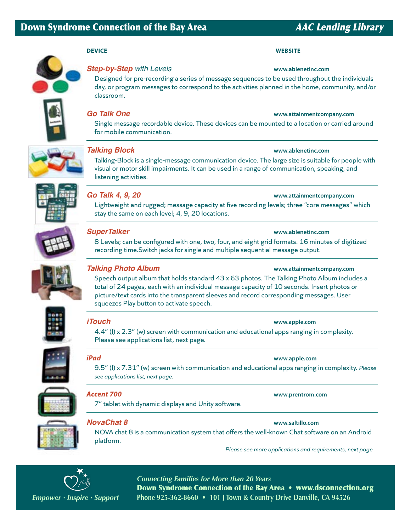### **DEVICE WEBSITE**



## *Step-by-Step with Levels* **[www.ablenetinc.com](http://www.ablenetinc.com)**

Designed for pre-recording a series of message sequences to be used throughout the individuals day, or program messages to correspond to the activities planned in the home, community, and/or classroom.

# **Go Talk One <b>***Company.com* **CO** *COMPANY <b>CON COMPANY <b>CON COMPANY <b>CON COMPANY <b>CON COMPANY <b>CON COMPANY <b>CON CON*

Single message recordable device. These devices can be mounted to a location or carried around for mobile communication.



# *Talking Block* **[www.ablenetinc.com](http://www.ablenetinc.com)**

# Talking-Block is a single-message communication device. The large size is suitable for people with visual or motor skill impairments. It can be used in a range of communication, speaking, and listening activities.



# *Go Talk 4, 9, 20* **[www.attainmentcompany.co](http://www.attainmentcompany.com)m**

Lightweight and rugged; message capacity at five recording levels; three "core messages" which stay the same on each level; 4, 9, 20 locations.



## *SuperTalker* **[www.ablenetinc.com](http://www.ablenetinc.com)**

8 Levels; can be configured with one, two, four, and eight grid formats. 16 minutes of digitized recording time.Switch jacks for single and multiple sequential message output.



# *Talking Photo Album* **[www.attainmentcompany.co](http://www.attainmentcompany.com)m**

Speech output album that holds standard 43 x 63 photos. The Talking Photo Album includes a total of 24 pages, each with an individual message capacity of 10 seconds. Insert photos or picture/text cards into the transparent sleeves and record corresponding messages. User squeezes Play button to activate speech.



## *iTouch* **[www.apple.com](http://www.apple.com)**

4.4" (l) x 2.3" (w) screen with communication and educational apps ranging in complexity. Please see applications list, next page.

# *iPad* **[www.apple.com](http://www.apple.com)**

9.5" (l) x 7.31" (w) screen with communication and educational apps ranging in complexity. *Please see applications list, next page.*



7" tablet with dynamic displays and Unity software.



# *NovaChat 8* **[www.saltillo.com](http://www.saltillo.com)**

NOVA chat 8 is a communication system that offers the well-known Chat software on an Android platform.

*Please see more applications and requirements, next page*



*Connecting Families for More than 20 Years* Down Syndrome Connection of the Bay Area • www.dsconnection.org *Empower · Inspire · Support* **Phone 925-362-8660 • 101 J Town & Country Drive Danville, CA 94526**

*Accent 700* **[www.prentrom.com](http://www.prentrom.com)**